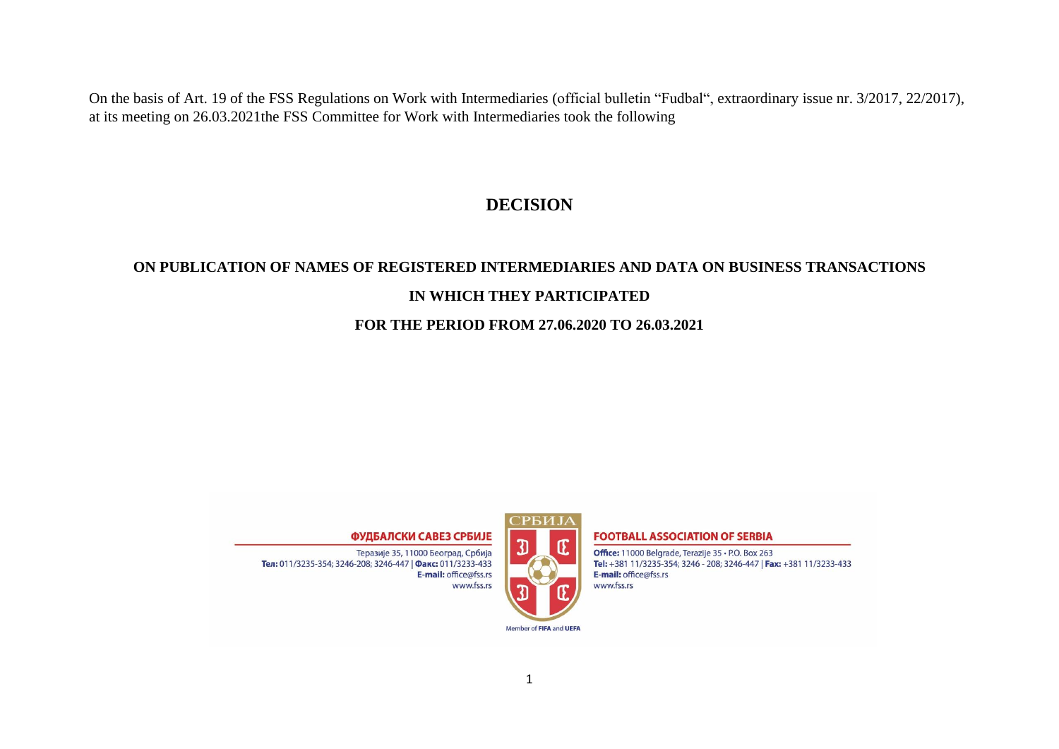On the basis of Art. 19 of the FSS Regulations on Work with Intermediaries (official bulletin "Fudbal", extraordinary issue nr. 3/2017, 22/2017), at its meeting on 26.03.2021the FSS Committee for Work with Intermediaries took the following

## **DECISION**

# **ON PUBLICATION OF NAMES OF REGISTERED INTERMEDIARIES AND DATA ON BUSINESS TRANSACTIONS IN WHICH THEY PARTICIPATED**

### **FOR THE PERIOD FROM 27.06.2020 TO 26.03.2021**

#### ФУДБАЛСКИ САВЕЗ СРБИЈЕ

Теразије 35, 11000 Београд, Србија Тел: 011/3235-354; 3246-208; 3246-447 | Факс: 011/3233-433 E-mail: office@fss.rs www.fss.rs



#### **FOOTBALL ASSOCIATION OF SERBIA**

Office: 11000 Belgrade, Terazije 35 · P.O. Box 263 Tel: +381 11/3235-354; 3246 - 208; 3246-447 | Fax: +381 11/3233-433 E-mail: office@fss.rs www.fss.rs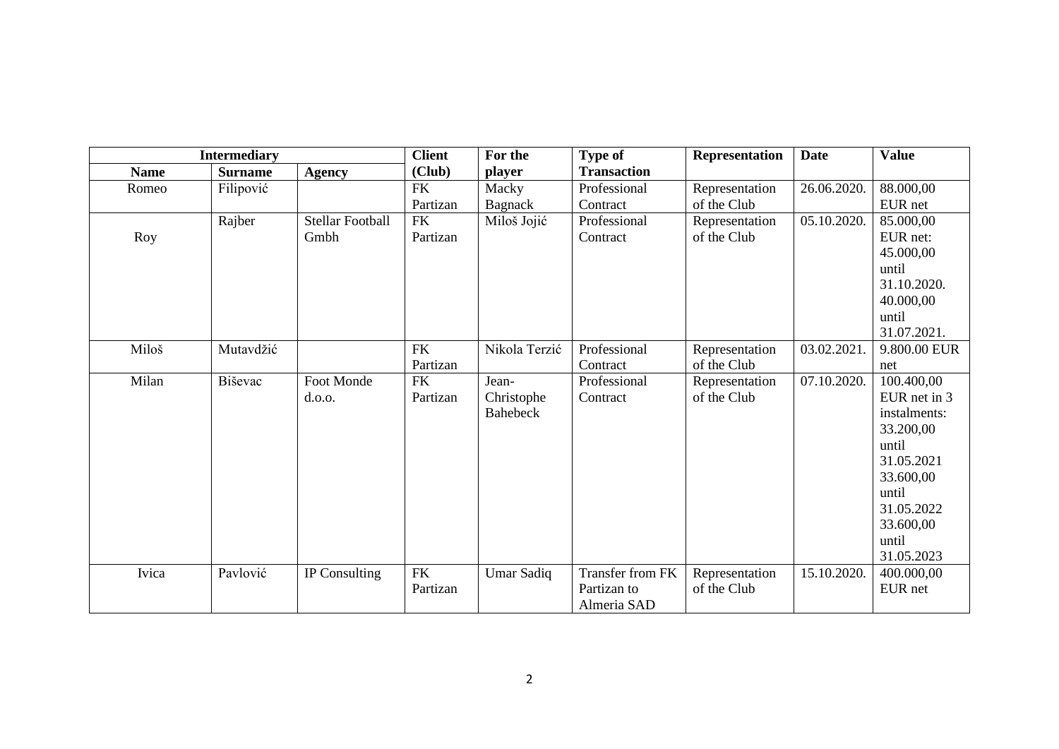| <b>Intermediary</b> |                |                         | <b>Client</b> | For the                | <b>Type of</b>     | Representation                | <b>Date</b> | <b>Value</b>                 |
|---------------------|----------------|-------------------------|---------------|------------------------|--------------------|-------------------------------|-------------|------------------------------|
| <b>Name</b>         | <b>Surname</b> | <b>Agency</b>           | (Club)        | <i>player</i>          | <b>Transaction</b> |                               |             |                              |
| Romeo               | Filipović      |                         | ${\rm FK}$    | Macky                  | Professional       | Representation                | 26.06.2020. | 88.000,00                    |
|                     |                |                         | Partizan      | Bagnack                | Contract           | of the Club                   |             | EUR net                      |
|                     | Rajber         | <b>Stellar Football</b> | <b>FK</b>     | Miloš Jojić            | Professional       | Representation                | 05.10.2020. | 85.000,00                    |
| Roy                 |                | Gmbh                    | Partizan      |                        | Contract           | of the Club                   |             | EUR net:                     |
|                     |                |                         |               |                        |                    |                               |             | 45.000,00                    |
|                     |                |                         |               |                        |                    |                               |             | until                        |
|                     |                |                         |               |                        |                    |                               |             | 31.10.2020.                  |
|                     |                |                         |               |                        |                    |                               |             | 40.000,00                    |
|                     |                |                         |               |                        |                    |                               |             | until                        |
|                     |                |                         |               |                        |                    |                               |             | 31.07.2021.                  |
| Miloš               | Mutavdžić      |                         | <b>FK</b>     | Nikola Terzić          | Professional       | Representation                | 03.02.2021. | 9.800.00 EUR                 |
|                     |                |                         | Partizan      |                        | Contract           | of the Club                   |             | net                          |
| Milan               | <b>Biševac</b> | Foot Monde              | <b>FK</b>     | Jean-                  | Professional       | Representation<br>of the Club | 07.10.2020. | 100.400,00                   |
|                     |                | d.o.o.                  | Partizan      | Christophe<br>Bahebeck | Contract           |                               |             | EUR net in 3<br>instalments: |
|                     |                |                         |               |                        |                    |                               |             | 33.200,00                    |
|                     |                |                         |               |                        |                    |                               |             | until                        |
|                     |                |                         |               |                        |                    |                               |             | 31.05.2021                   |
|                     |                |                         |               |                        |                    |                               |             | 33.600,00                    |
|                     |                |                         |               |                        |                    |                               |             | until                        |
|                     |                |                         |               |                        |                    |                               |             | 31.05.2022                   |
|                     |                |                         |               |                        |                    |                               |             | 33.600,00                    |
|                     |                |                         |               |                        |                    |                               |             | until                        |
|                     |                |                         |               |                        |                    |                               |             | 31.05.2023                   |
| Ivica               | Pavlović       | IP Consulting           | <b>FK</b>     | Umar Sadiq             | Transfer from FK   | Representation                | 15.10.2020. | 400.000,00                   |
|                     |                |                         | Partizan      |                        | Partizan to        | of the Club                   |             | EUR net                      |
|                     |                |                         |               |                        | Almeria SAD        |                               |             |                              |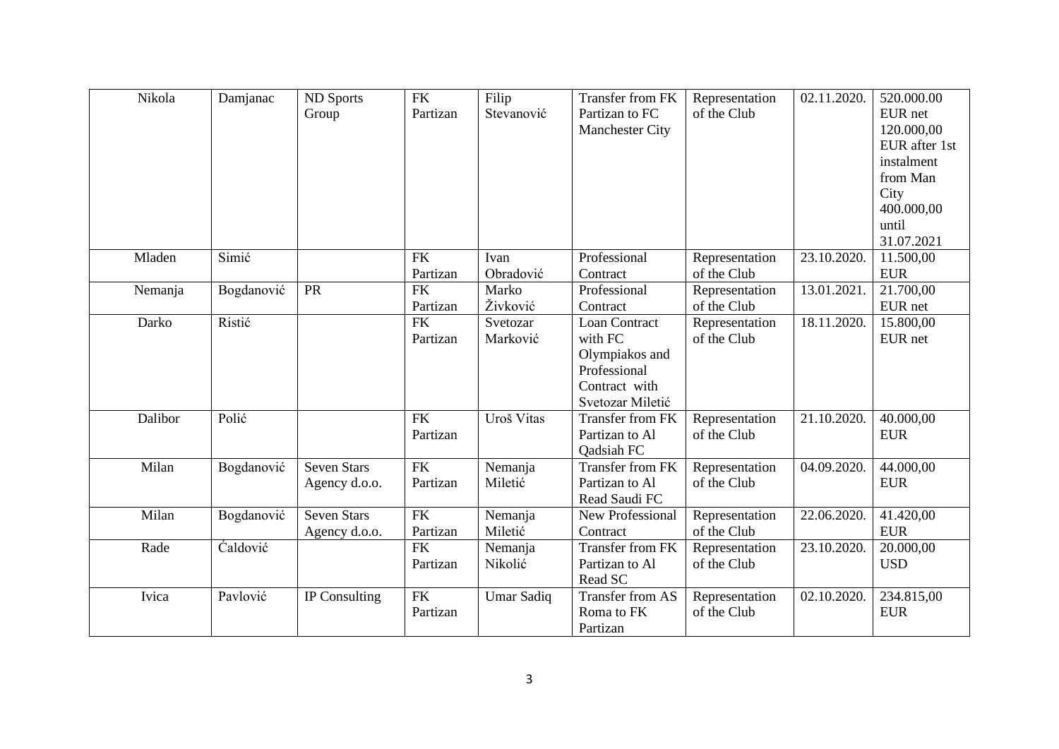| Nikola  | Damjanac   | <b>ND</b> Sports<br>Group           | <b>FK</b><br>Partizan  | Filip<br>Stevanović  | Transfer from FK<br>Partizan to FC<br><b>Manchester City</b>                                           | Representation<br>of the Club | 02.11.2020.               | 520.000.00<br>EUR net<br>120.000,00<br>EUR after 1st<br>instalment<br>from Man<br>City<br>400.000,00<br>until<br>31.07.2021 |
|---------|------------|-------------------------------------|------------------------|----------------------|--------------------------------------------------------------------------------------------------------|-------------------------------|---------------------------|-----------------------------------------------------------------------------------------------------------------------------|
| Mladen  | Simić      |                                     | <b>FK</b><br>Partizan  | Ivan<br>Obradović    | Professional<br>Contract                                                                               | Representation<br>of the Club | 23.10.2020.               | 11.500,00<br><b>EUR</b>                                                                                                     |
| Nemanja | Bogdanović | PR                                  | <b>FK</b><br>Partizan  | Marko<br>Živković    | Professional<br>Contract                                                                               | Representation<br>of the Club | 13.01.2021                | 21.700,00<br>EUR net                                                                                                        |
| Darko   | Ristić     |                                     | ${\rm FK}$<br>Partizan | Svetozar<br>Marković | <b>Loan Contract</b><br>with FC<br>Olympiakos and<br>Professional<br>Contract with<br>Svetozar Miletić | Representation<br>of the Club | 18.11.2020.               | 15.800,00<br>EUR net                                                                                                        |
| Dalibor | Polić      |                                     | <b>FK</b><br>Partizan  | Uroš Vitas           | Transfer from FK<br>Partizan to Al<br>Qadsiah FC                                                       | Representation<br>of the Club | 21.10.2020.               | 40.000,00<br><b>EUR</b>                                                                                                     |
| Milan   | Bogdanović | <b>Seven Stars</b><br>Agency d.o.o. | <b>FK</b><br>Partizan  | Nemanja<br>Miletić   | Transfer from FK<br>Partizan to Al<br>Read Saudi FC                                                    | Representation<br>of the Club | $\overline{04.09.2020}$ . | 44.000,00<br><b>EUR</b>                                                                                                     |
| Milan   | Bogdanović | <b>Seven Stars</b><br>Agency d.o.o. | <b>FK</b><br>Partizan  | Nemanja<br>Miletić   | New Professional<br>Contract                                                                           | Representation<br>of the Club | 22.06.2020.               | 41.420,00<br><b>EUR</b>                                                                                                     |
| Rade    | Ćaldović   |                                     | <b>FK</b><br>Partizan  | Nemanja<br>Nikolić   | Transfer from FK<br>Partizan to Al<br>Read SC                                                          | Representation<br>of the Club | 23.10.2020.               | 20.000,00<br><b>USD</b>                                                                                                     |
| Ivica   | Pavlović   | IP Consulting                       | <b>FK</b><br>Partizan  | <b>Umar Sadiq</b>    | Transfer from AS<br>Roma to FK<br>Partizan                                                             | Representation<br>of the Club | 02.10.2020.               | 234.815,00<br><b>EUR</b>                                                                                                    |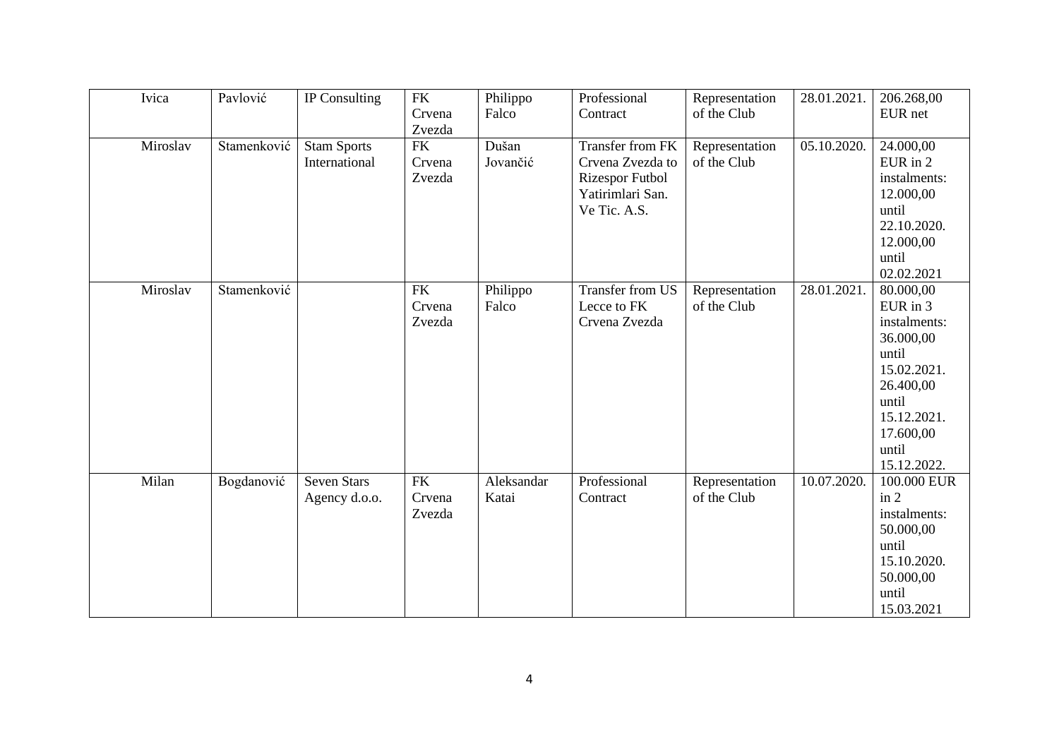| Ivica<br>Pavlović<br><b>FK</b><br>Professional<br>IP Consulting<br>28.01.2021.<br>Philippo<br>Representation<br>Crvena<br>Falco<br>of the Club<br>Contract<br>Zvezda<br>Miroslav<br>Stamenković<br><b>FK</b><br>Dušan<br>05.10.2020.<br>Transfer from FK<br><b>Stam Sports</b><br>Representation<br>Jovančić<br>of the Club<br>International<br>Crvena<br>Crvena Zvezda to<br>Zvezda<br>Rizespor Futbol<br>Yatirimlari San.<br>Ve Tic. A.S.<br>Miroslav<br>Stamenković<br>Transfer from US<br>28.01.2021.<br><b>FK</b><br>Representation<br>Philippo<br>Falco<br>Lecce to FK<br>of the Club<br>Crvena<br>Zvezda<br>Crvena Zvezda | 206.268,00<br>EUR net<br>24.000,00<br>EUR in 2<br>instalments:<br>12.000,00<br>until<br>22.10.2020.<br>12.000,00<br>until<br>02.02.2021<br>80.000,00<br>EUR in 3 |
|----------------------------------------------------------------------------------------------------------------------------------------------------------------------------------------------------------------------------------------------------------------------------------------------------------------------------------------------------------------------------------------------------------------------------------------------------------------------------------------------------------------------------------------------------------------------------------------------------------------------------------|------------------------------------------------------------------------------------------------------------------------------------------------------------------|
|                                                                                                                                                                                                                                                                                                                                                                                                                                                                                                                                                                                                                                  |                                                                                                                                                                  |
|                                                                                                                                                                                                                                                                                                                                                                                                                                                                                                                                                                                                                                  |                                                                                                                                                                  |
|                                                                                                                                                                                                                                                                                                                                                                                                                                                                                                                                                                                                                                  |                                                                                                                                                                  |
|                                                                                                                                                                                                                                                                                                                                                                                                                                                                                                                                                                                                                                  |                                                                                                                                                                  |
|                                                                                                                                                                                                                                                                                                                                                                                                                                                                                                                                                                                                                                  |                                                                                                                                                                  |
|                                                                                                                                                                                                                                                                                                                                                                                                                                                                                                                                                                                                                                  |                                                                                                                                                                  |
|                                                                                                                                                                                                                                                                                                                                                                                                                                                                                                                                                                                                                                  |                                                                                                                                                                  |
|                                                                                                                                                                                                                                                                                                                                                                                                                                                                                                                                                                                                                                  |                                                                                                                                                                  |
|                                                                                                                                                                                                                                                                                                                                                                                                                                                                                                                                                                                                                                  |                                                                                                                                                                  |
|                                                                                                                                                                                                                                                                                                                                                                                                                                                                                                                                                                                                                                  |                                                                                                                                                                  |
|                                                                                                                                                                                                                                                                                                                                                                                                                                                                                                                                                                                                                                  |                                                                                                                                                                  |
|                                                                                                                                                                                                                                                                                                                                                                                                                                                                                                                                                                                                                                  |                                                                                                                                                                  |
|                                                                                                                                                                                                                                                                                                                                                                                                                                                                                                                                                                                                                                  | instalments:                                                                                                                                                     |
|                                                                                                                                                                                                                                                                                                                                                                                                                                                                                                                                                                                                                                  | 36.000,00                                                                                                                                                        |
|                                                                                                                                                                                                                                                                                                                                                                                                                                                                                                                                                                                                                                  | until                                                                                                                                                            |
|                                                                                                                                                                                                                                                                                                                                                                                                                                                                                                                                                                                                                                  | 15.02.2021.                                                                                                                                                      |
|                                                                                                                                                                                                                                                                                                                                                                                                                                                                                                                                                                                                                                  | 26.400,00<br>until                                                                                                                                               |
|                                                                                                                                                                                                                                                                                                                                                                                                                                                                                                                                                                                                                                  | 15.12.2021.                                                                                                                                                      |
|                                                                                                                                                                                                                                                                                                                                                                                                                                                                                                                                                                                                                                  | 17.600,00                                                                                                                                                        |
|                                                                                                                                                                                                                                                                                                                                                                                                                                                                                                                                                                                                                                  | until                                                                                                                                                            |
|                                                                                                                                                                                                                                                                                                                                                                                                                                                                                                                                                                                                                                  | 15.12.2022.                                                                                                                                                      |
| Professional<br>Milan<br>Bogdanović<br><b>Seven Stars</b><br><b>FK</b><br>10.07.2020.<br>Aleksandar<br>Representation                                                                                                                                                                                                                                                                                                                                                                                                                                                                                                            | 100.000 EUR                                                                                                                                                      |
| of the Club<br>Agency d.o.o.<br>Crvena<br>Katai<br>Contract                                                                                                                                                                                                                                                                                                                                                                                                                                                                                                                                                                      | in 2                                                                                                                                                             |
| Zvezda                                                                                                                                                                                                                                                                                                                                                                                                                                                                                                                                                                                                                           | instalments:                                                                                                                                                     |
|                                                                                                                                                                                                                                                                                                                                                                                                                                                                                                                                                                                                                                  | 50.000,00                                                                                                                                                        |
|                                                                                                                                                                                                                                                                                                                                                                                                                                                                                                                                                                                                                                  | until                                                                                                                                                            |
|                                                                                                                                                                                                                                                                                                                                                                                                                                                                                                                                                                                                                                  | 15.10.2020.<br>50.000,00                                                                                                                                         |
|                                                                                                                                                                                                                                                                                                                                                                                                                                                                                                                                                                                                                                  |                                                                                                                                                                  |
|                                                                                                                                                                                                                                                                                                                                                                                                                                                                                                                                                                                                                                  | until                                                                                                                                                            |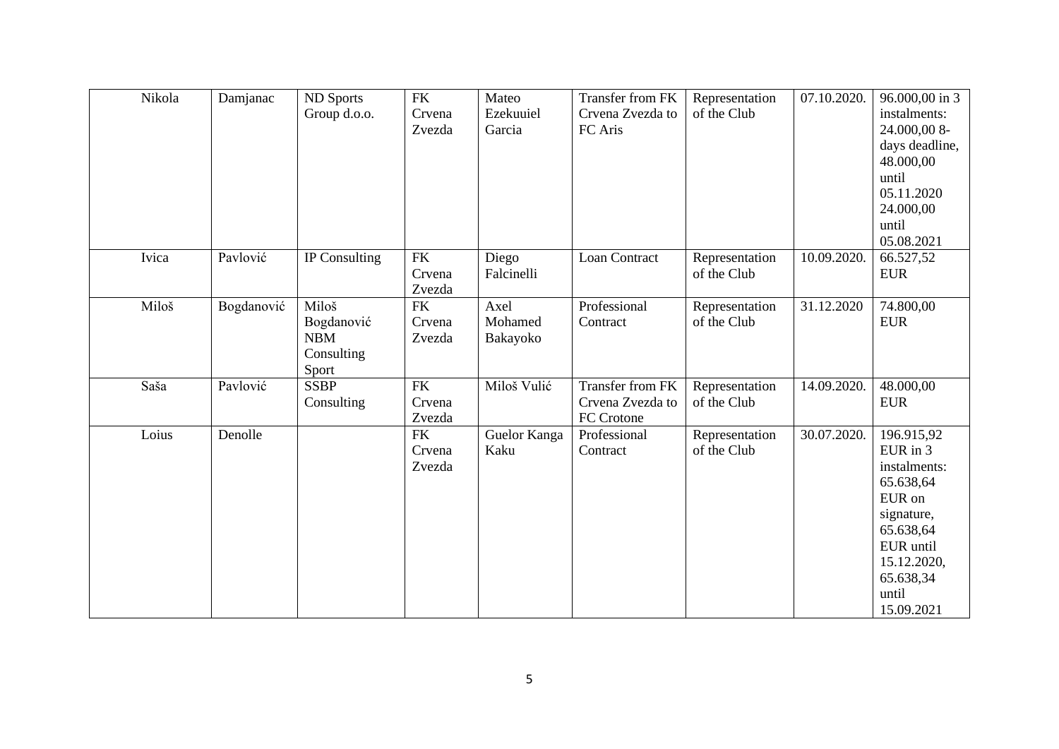| Nikola | Damjanac   | ND Sports<br>Group d.o.o.                                | <b>FK</b><br>Crvena<br>Zvezda  | Mateo<br>Ezekuuiel<br>Garcia | Transfer from FK<br>Crvena Zvezda to<br>FC Aris           | Representation<br>of the Club | 07.10.2020.               | 96.000,00 in 3<br>instalments:<br>24.000,008-<br>days deadline,<br>48.000,00<br>until<br>05.11.2020<br>24.000,00<br>until<br>05.08.2021                  |
|--------|------------|----------------------------------------------------------|--------------------------------|------------------------------|-----------------------------------------------------------|-------------------------------|---------------------------|----------------------------------------------------------------------------------------------------------------------------------------------------------|
| Ivica  | Pavlović   | IP Consulting                                            | ${\rm FK}$<br>Crvena<br>Zvezda | Diego<br>Falcinelli          | Loan Contract                                             | Representation<br>of the Club | $\overline{10.09.2020}$ . | 66.527,52<br><b>EUR</b>                                                                                                                                  |
| Miloš  | Bogdanović | Miloš<br>Bogdanović<br><b>NBM</b><br>Consulting<br>Sport | <b>FK</b><br>Crvena<br>Zvezda  | Axel<br>Mohamed<br>Bakayoko  | Professional<br>Contract                                  | Representation<br>of the Club | 31.12.2020                | 74.800,00<br><b>EUR</b>                                                                                                                                  |
| Saša   | Pavlović   | <b>SSBP</b><br>Consulting                                | <b>FK</b><br>Crvena<br>Zvezda  | Miloš Vulić                  | <b>Transfer from FK</b><br>Crvena Zvezda to<br>FC Crotone | Representation<br>of the Club | 14.09.2020.               | 48.000,00<br><b>EUR</b>                                                                                                                                  |
| Loius  | Denolle    |                                                          | <b>FK</b><br>Crvena<br>Zvezda  | Guelor Kanga<br>Kaku         | Professional<br>Contract                                  | Representation<br>of the Club | 30.07.2020.               | 196.915,92<br>EUR in 3<br>instalments:<br>65.638,64<br>EUR on<br>signature,<br>65.638,64<br>EUR until<br>15.12.2020,<br>65.638,34<br>until<br>15.09.2021 |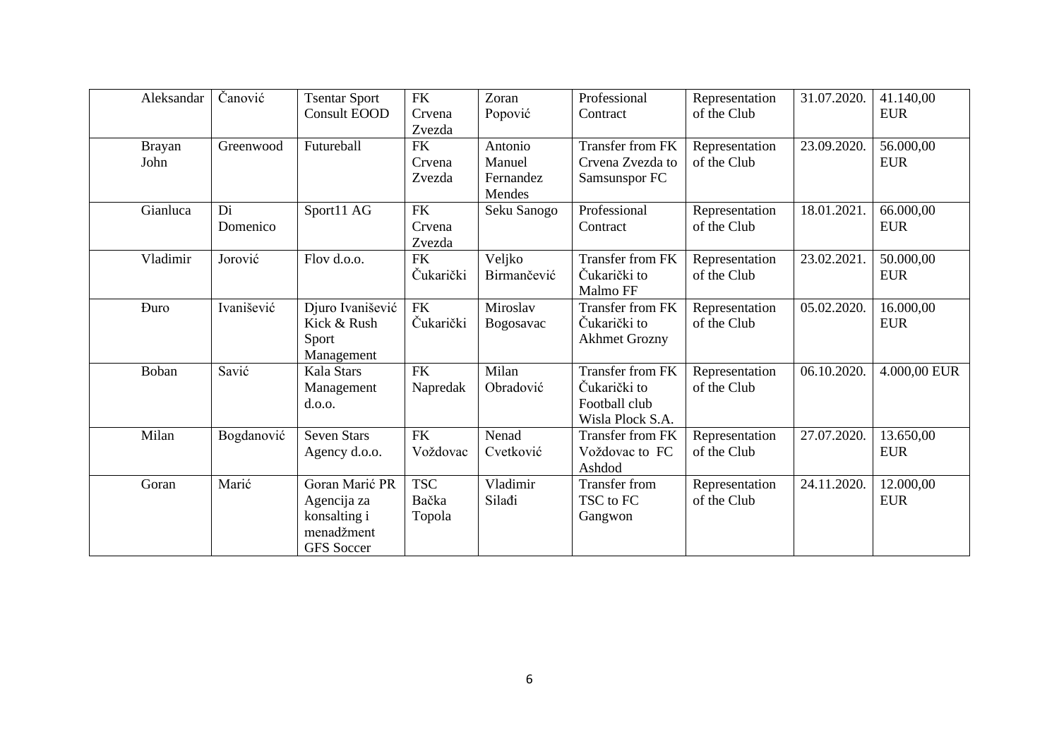| Aleksandar            | Čanović        | <b>Tsentar Sport</b><br><b>Consult EOOD</b>                                      | FK<br>Crvena<br>Zvezda        | Zoran<br>Popović                         | Professional<br>Contract                                                     | Representation<br>of the Club | 31.07.2020. | 41.140,00<br><b>EUR</b> |
|-----------------------|----------------|----------------------------------------------------------------------------------|-------------------------------|------------------------------------------|------------------------------------------------------------------------------|-------------------------------|-------------|-------------------------|
| <b>Brayan</b><br>John | Greenwood      | Futureball                                                                       | <b>FK</b><br>Crvena<br>Zvezda | Antonio<br>Manuel<br>Fernandez<br>Mendes | Transfer from FK<br>Crvena Zvezda to<br>Samsunspor FC                        | Representation<br>of the Club | 23.09.2020. | 56.000,00<br><b>EUR</b> |
| Gianluca              | Di<br>Domenico | Sport11 AG                                                                       | <b>FK</b><br>Crvena<br>Zvezda | Seku Sanogo                              | Professional<br>Contract                                                     | Representation<br>of the Club | 18.01.2021. | 66.000,00<br><b>EUR</b> |
| Vladimir              | Jorović        | Flov d.o.o.                                                                      | <b>FK</b><br>Čukarički        | Veljko<br>Birmančević                    | Transfer from FK<br>Čukarički to<br>Malmo FF                                 | Representation<br>of the Club | 23.02.2021  | 50.000,00<br><b>EUR</b> |
| <b>Duro</b>           | Ivanišević     | Djuro Ivanišević<br>Kick & Rush<br>Sport<br>Management                           | FK<br>Čukarički               | Miroslav<br>Bogosavac                    | Transfer from FK<br>Čukarički to<br><b>Akhmet Grozny</b>                     | Representation<br>of the Club | 05.02.2020. | 16.000,00<br><b>EUR</b> |
| Boban                 | Savić          | Kala Stars<br>Management<br>d.o.o.                                               | <b>FK</b><br>Napredak         | Milan<br>Obradović                       | <b>Transfer from FK</b><br>Čukarički to<br>Football club<br>Wisla Plock S.A. | Representation<br>of the Club | 06.10.2020. | 4.000,00 EUR            |
| Milan                 | Bogdanović     | <b>Seven Stars</b><br>Agency d.o.o.                                              | FK<br>Voždovac                | Nenad<br>Cvetković                       | Transfer from FK<br>Voždovac to FC<br>Ashdod                                 | Representation<br>of the Club | 27.07.2020. | 13.650,00<br><b>EUR</b> |
| Goran                 | Marić          | Goran Marić PR<br>Agencija za<br>konsalting i<br>menadžment<br><b>GFS</b> Soccer | <b>TSC</b><br>Bačka<br>Topola | Vladimir<br>Silađi                       | <b>Transfer from</b><br>TSC to FC<br>Gangwon                                 | Representation<br>of the Club | 24.11.2020. | 12.000,00<br><b>EUR</b> |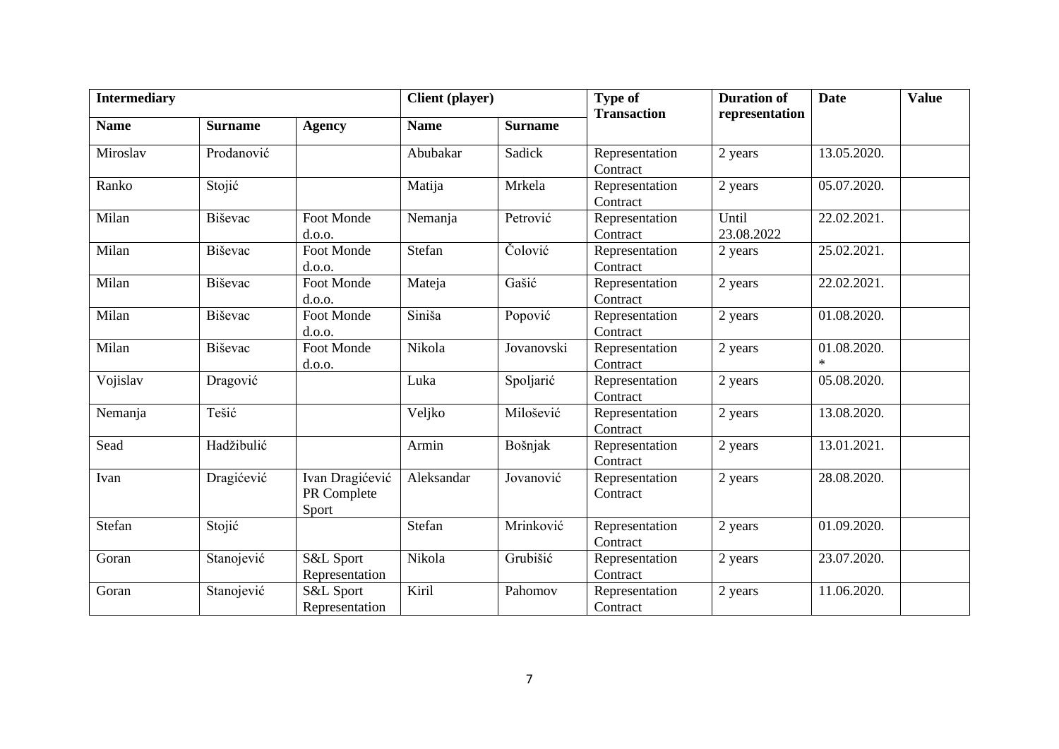| <b>Intermediary</b> |                |                                         | <b>Client</b> (player) |                | <b>Type of</b>             | <b>Duration of</b>  | <b>Date</b>           | <b>Value</b> |
|---------------------|----------------|-----------------------------------------|------------------------|----------------|----------------------------|---------------------|-----------------------|--------------|
| <b>Name</b>         | <b>Surname</b> | <b>Agency</b>                           | <b>Name</b>            | <b>Surname</b> | <b>Transaction</b>         | representation      |                       |              |
| Miroslav            | Prodanović     |                                         | Abubakar               | Sadick         | Representation<br>Contract | 2 years             | 13.05.2020.           |              |
| Ranko               | Stojić         |                                         | Matija                 | Mrkela         | Representation<br>Contract | 2 years             | 05.07.2020.           |              |
| Milan               | Biševac        | Foot Monde<br>d.o.o.                    | Nemanja                | Petrović       | Representation<br>Contract | Until<br>23.08.2022 | 22.02.2021.           |              |
| Milan               | Biševac        | Foot Monde<br>d.o.o.                    | Stefan                 | Colović        | Representation<br>Contract | 2 years             | 25.02.2021.           |              |
| Milan               | Biševac        | Foot Monde<br>d.o.o.                    | Mateja                 | Gašić          | Representation<br>Contract | 2 years             | 22.02.2021.           |              |
| Milan               | Biševac        | Foot Monde<br>d.o.o.                    | Siniša                 | Popović        | Representation<br>Contract | 2 years             | 01.08.2020.           |              |
| Milan               | Biševac        | Foot Monde<br>d.o.o.                    | Nikola                 | Jovanovski     | Representation<br>Contract | 2 years             | 01.08.2020.<br>$\ast$ |              |
| Vojislav            | Dragović       |                                         | Luka                   | Spoljarić      | Representation<br>Contract | 2 years             | 05.08.2020.           |              |
| Nemanja             | Tešić          |                                         | Veljko                 | Milošević      | Representation<br>Contract | 2 years             | 13.08.2020.           |              |
| Sead                | Hadžibulić     |                                         | Armin                  | Bošnjak        | Representation<br>Contract | 2 years             | 13.01.2021.           |              |
| Ivan                | Dragićević     | Ivan Dragićević<br>PR Complete<br>Sport | Aleksandar             | Jovanović      | Representation<br>Contract | 2 years             | 28.08.2020.           |              |
| Stefan              | Stojić         |                                         | Stefan                 | Mrinković      | Representation<br>Contract | 2 years             | 01.09.2020.           |              |
| Goran               | Stanojević     | S&L Sport<br>Representation             | Nikola                 | Grubišić       | Representation<br>Contract | 2 years             | 23.07.2020.           |              |
| Goran               | Stanojević     | S&L Sport<br>Representation             | Kiril                  | Pahomov        | Representation<br>Contract | 2 years             | 11.06.2020.           |              |